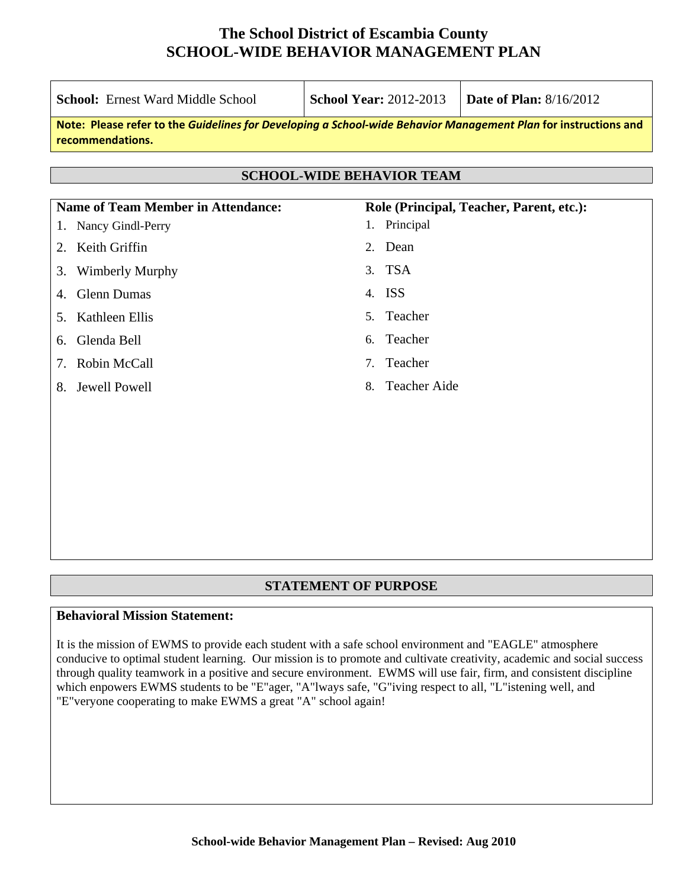|                                                                                                                                     | <b>School: Ernest Ward Middle School</b>  | <b>School Year: 2012-2013</b><br><b>Date of Plan: 8/16/2012</b> |  |  |  |  |  |  |  |
|-------------------------------------------------------------------------------------------------------------------------------------|-------------------------------------------|-----------------------------------------------------------------|--|--|--|--|--|--|--|
| Note: Please refer to the Guidelines for Developing a School-wide Behavior Management Plan for instructions and<br>recommendations. |                                           |                                                                 |  |  |  |  |  |  |  |
|                                                                                                                                     |                                           |                                                                 |  |  |  |  |  |  |  |
| <b>SCHOOL-WIDE BEHAVIOR TEAM</b>                                                                                                    |                                           |                                                                 |  |  |  |  |  |  |  |
|                                                                                                                                     | <b>Name of Team Member in Attendance:</b> | Role (Principal, Teacher, Parent, etc.):                        |  |  |  |  |  |  |  |
|                                                                                                                                     | 1. Nancy Gindl-Perry                      | 1. Principal                                                    |  |  |  |  |  |  |  |
| 2.                                                                                                                                  | Keith Griffin                             | Dean<br>2.                                                      |  |  |  |  |  |  |  |
| 3.                                                                                                                                  | Wimberly Murphy                           | 3. TSA                                                          |  |  |  |  |  |  |  |
| 4.                                                                                                                                  | <b>Glenn Dumas</b>                        | 4. ISS                                                          |  |  |  |  |  |  |  |
| 5.                                                                                                                                  | Kathleen Ellis                            | Teacher<br>5.                                                   |  |  |  |  |  |  |  |
| 6.                                                                                                                                  | Glenda Bell                               | Teacher<br>б.                                                   |  |  |  |  |  |  |  |
| 7.                                                                                                                                  | Robin McCall                              | Teacher<br>$7_{\scriptscriptstyle{\ddots}}$                     |  |  |  |  |  |  |  |
| 8.                                                                                                                                  | Jewell Powell                             | <b>Teacher Aide</b><br>8.                                       |  |  |  |  |  |  |  |
|                                                                                                                                     |                                           |                                                                 |  |  |  |  |  |  |  |
|                                                                                                                                     |                                           |                                                                 |  |  |  |  |  |  |  |
|                                                                                                                                     |                                           |                                                                 |  |  |  |  |  |  |  |
|                                                                                                                                     |                                           |                                                                 |  |  |  |  |  |  |  |
|                                                                                                                                     |                                           |                                                                 |  |  |  |  |  |  |  |

#### **STATEMENT OF PURPOSE**

#### **Behavioral Mission Statement:**

It is the mission of EWMS to provide each student with a safe school environment and "EAGLE" atmosphere conducive to optimal student learning. Our mission is to promote and cultivate creativity, academic and social success through quality teamwork in a positive and secure environment. EWMS will use fair, firm, and consistent discipline which enpowers EWMS students to be "E"ager, "A"lways safe, "G"iving respect to all, "L"istening well, and "E"veryone cooperating to make EWMS a great "A" school again!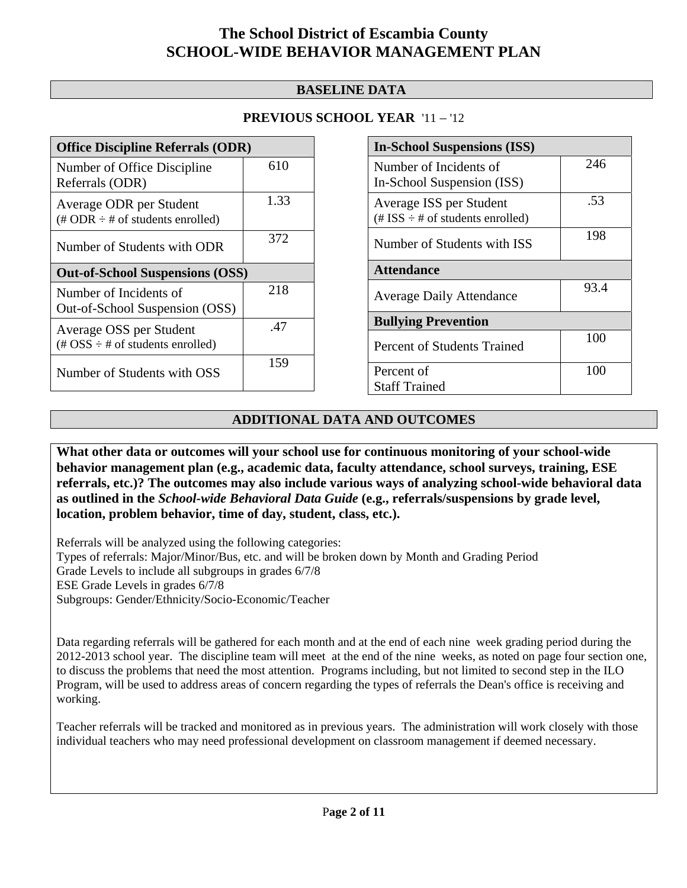#### **BASELINE DATA**

## **PREVIOUS SCHOOL YEAR** '11 – '12

| <b>Office Discipline Referrals (ODR)</b>                                                        |      |  |  |  |  |
|-------------------------------------------------------------------------------------------------|------|--|--|--|--|
| Number of Office Discipline<br>Referrals (ODR)                                                  | 610  |  |  |  |  |
| Average ODR per Student<br>$(\# ODR \div \# \text{ of students enrolled})$                      | 1.33 |  |  |  |  |
| Number of Students with ODR                                                                     | 372  |  |  |  |  |
| <b>Out-of-School Suspensions (OSS)</b>                                                          |      |  |  |  |  |
|                                                                                                 |      |  |  |  |  |
| Number of Incidents of<br>Out-of-School Suspension (OSS)                                        | 218  |  |  |  |  |
| Average OSS per Student<br>$(\text{\#} \text{OSS} \div \text{\#} \text{ of students enrolled})$ | .47  |  |  |  |  |

| <b>In-School Suspensions (ISS)</b>                               |      |  |  |  |  |
|------------------------------------------------------------------|------|--|--|--|--|
| Number of Incidents of                                           | 246  |  |  |  |  |
| In-School Suspension (ISS)                                       |      |  |  |  |  |
| Average ISS per Student<br>(# ISS $\div$ # of students enrolled) | .53  |  |  |  |  |
| Number of Students with ISS                                      | 198  |  |  |  |  |
| <b>Attendance</b>                                                |      |  |  |  |  |
| <b>Average Daily Attendance</b>                                  | 93.4 |  |  |  |  |
| <b>Bullying Prevention</b>                                       |      |  |  |  |  |
| Percent of Students Trained                                      | 100  |  |  |  |  |
| Percent of                                                       | 100  |  |  |  |  |
| <b>Staff Trained</b>                                             |      |  |  |  |  |

## **ADDITIONAL DATA AND OUTCOMES**

**What other data or outcomes will your school use for continuous monitoring of your school-wide behavior management plan (e.g., academic data, faculty attendance, school surveys, training, ESE referrals, etc.)? The outcomes may also include various ways of analyzing school-wide behavioral data as outlined in the** *School-wide Behavioral Data Guide* **(e.g., referrals/suspensions by grade level, location, problem behavior, time of day, student, class, etc.).**

Referrals will be analyzed using the following categories:

Types of referrals: Major/Minor/Bus, etc. and will be broken down by Month and Grading Period

Grade Levels to include all subgroups in grades 6/7/8

ESE Grade Levels in grades 6/7/8

Subgroups: Gender/Ethnicity/Socio-Economic/Teacher

Data regarding referrals will be gathered for each month and at the end of each nine week grading period during the 2012-2013 school year. The discipline team will meet at the end of the nine weeks, as noted on page four section one, to discuss the problems that need the most attention. Programs including, but not limited to second step in the ILO Program, will be used to address areas of concern regarding the types of referrals the Dean's office is receiving and working.

Teacher referrals will be tracked and monitored as in previous years. The administration will work closely with those individual teachers who may need professional development on classroom management if deemed necessary.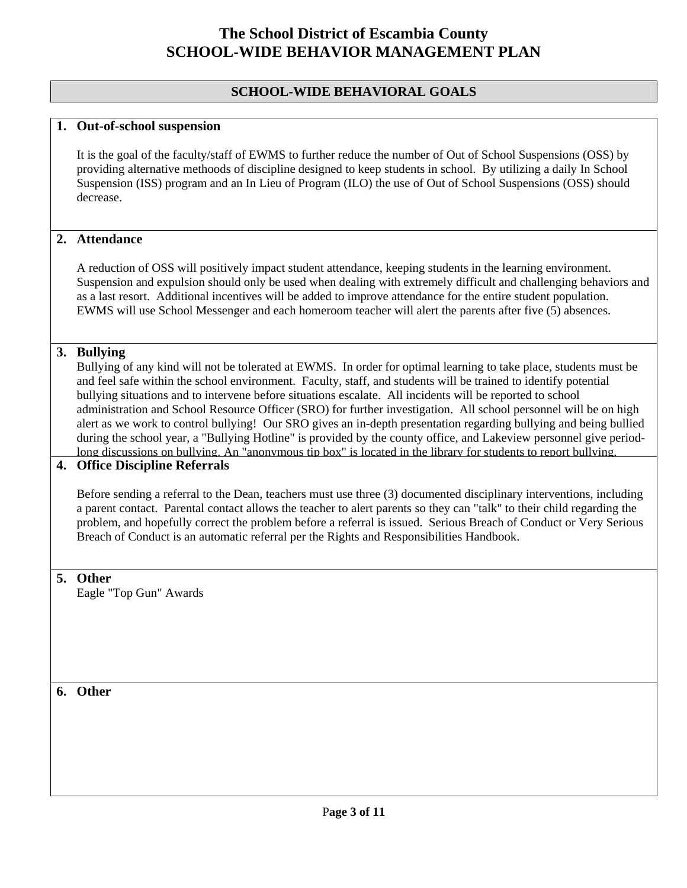#### **SCHOOL-WIDE BEHAVIORAL GOALS**

#### **1. Out-of-school suspension**

It is the goal of the faculty/staff of EWMS to further reduce the number of Out of School Suspensions (OSS) by providing alternative methoods of discipline designed to keep students in school. By utilizing a daily In School Suspension (ISS) program and an In Lieu of Program (ILO) the use of Out of School Suspensions (OSS) should decrease.

#### **2. Attendance**

A reduction of OSS will positively impact student attendance, keeping students in the learning environment. Suspension and expulsion should only be used when dealing with extremely difficult and challenging behaviors and as a last resort. Additional incentives will be added to improve attendance for the entire student population. EWMS will use School Messenger and each homeroom teacher will alert the parents after five (5) absences.

#### **3. Bullying**

Bullying of any kind will not be tolerated at EWMS. In order for optimal learning to take place, students must be and feel safe within the school environment. Faculty, staff, and students will be trained to identify potential bullying situations and to intervene before situations escalate. All incidents will be reported to school administration and School Resource Officer (SRO) for further investigation. All school personnel will be on high alert as we work to control bullying! Our SRO gives an in-depth presentation regarding bullying and being bullied during the school year, a "Bullying Hotline" is provided by the county office, and Lakeview personnel give periodlong discussions on bullying. An "anonymous tip box" is located in the library for students to report bullying.

#### **4. Office Discipline Referrals**

Before sending a referral to the Dean, teachers must use three (3) documented disciplinary interventions, including a parent contact. Parental contact allows the teacher to alert parents so they can "talk" to their child regarding the problem, and hopefully correct the problem before a referral is issued. Serious Breach of Conduct or Very Serious Breach of Conduct is an automatic referral per the Rights and Responsibilities Handbook.

#### **5. Other**

Eagle "Top Gun" Awards

#### **6. Other**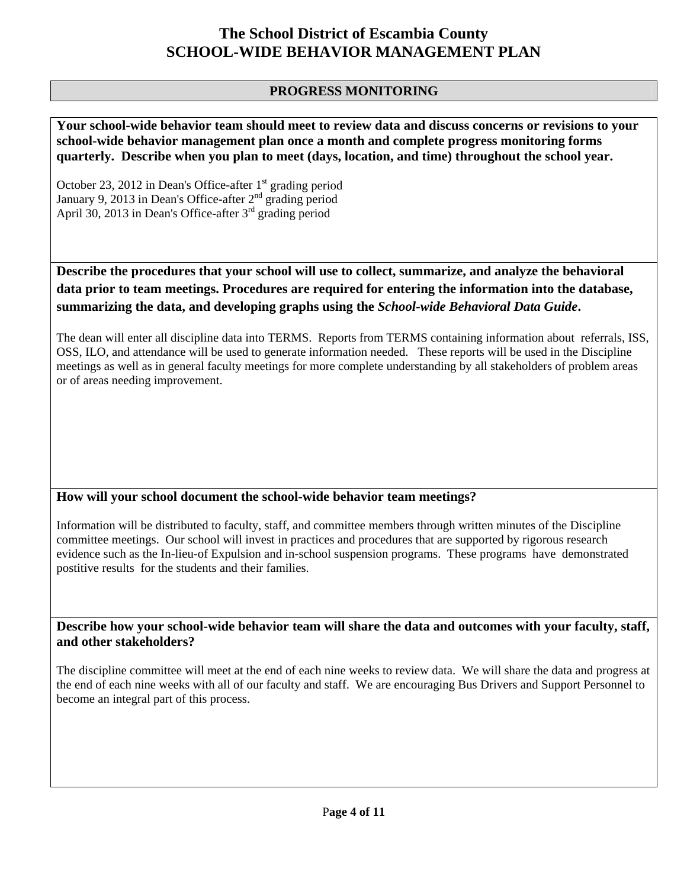#### **PROGRESS MONITORING**

**Your school-wide behavior team should meet to review data and discuss concerns or revisions to your school-wide behavior management plan once a month and complete progress monitoring forms quarterly. Describe when you plan to meet (days, location, and time) throughout the school year.** 

October 23, 2012 in Dean's Office-after  $1<sup>st</sup>$  grading period January 9, 2013 in Dean's Office-after  $2<sup>nd</sup>$  grading period April 30, 2013 in Dean's Office-after 3rd grading period

**Describe the procedures that your school will use to collect, summarize, and analyze the behavioral data prior to team meetings. Procedures are required for entering the information into the database, summarizing the data, and developing graphs using the** *School-wide Behavioral Data Guide***.** 

The dean will enter all discipline data into TERMS. Reports from TERMS containing information about referrals, ISS, OSS, ILO, and attendance will be used to generate information needed. These reports will be used in the Discipline meetings as well as in general faculty meetings for more complete understanding by all stakeholders of problem areas or of areas needing improvement.

#### **How will your school document the school-wide behavior team meetings?**

Information will be distributed to faculty, staff, and committee members through written minutes of the Discipline committee meetings. Our school will invest in practices and procedures that are supported by rigorous research evidence such as the In-lieu-of Expulsion and in-school suspension programs. These programs have demonstrated postitive results for the students and their families.

**Describe how your school-wide behavior team will share the data and outcomes with your faculty, staff, and other stakeholders?** 

The discipline committee will meet at the end of each nine weeks to review data. We will share the data and progress at the end of each nine weeks with all of our faculty and staff. We are encouraging Bus Drivers and Support Personnel to become an integral part of this process.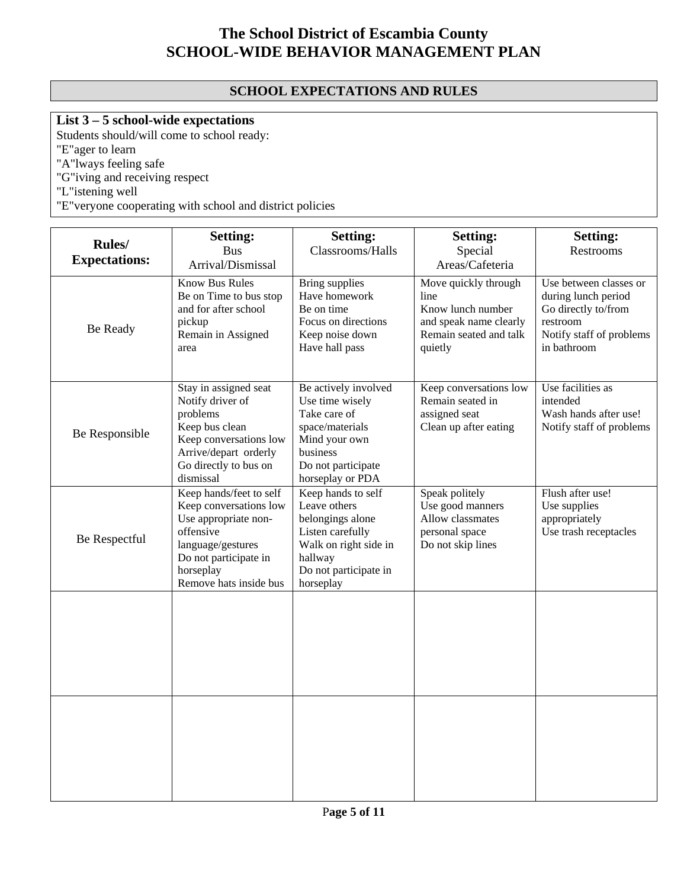## **SCHOOL EXPECTATIONS AND RULES**

## **List 3 – 5 school-wide expectations**

Students should/will come to school ready:

"E"ager to learn

"A"lways feeling safe

"G"iving and receiving respect

"L"istening well

"E"veryone cooperating with school and district policies

| Rules/               | <b>Setting:</b><br><b>Bus</b>                                                                                                                                               | <b>Setting:</b><br>Classrooms/Halls                                                                                                                  | <b>Setting:</b><br>Special                                                                                       | <b>Setting:</b><br>Restrooms                                                                                                |
|----------------------|-----------------------------------------------------------------------------------------------------------------------------------------------------------------------------|------------------------------------------------------------------------------------------------------------------------------------------------------|------------------------------------------------------------------------------------------------------------------|-----------------------------------------------------------------------------------------------------------------------------|
| <b>Expectations:</b> | Arrival/Dismissal                                                                                                                                                           |                                                                                                                                                      | Areas/Cafeteria                                                                                                  |                                                                                                                             |
| Be Ready             | <b>Know Bus Rules</b><br>Be on Time to bus stop<br>and for after school<br>pickup<br>Remain in Assigned<br>area                                                             | Bring supplies<br>Have homework<br>Be on time<br>Focus on directions<br>Keep noise down<br>Have hall pass                                            | Move quickly through<br>line<br>Know lunch number<br>and speak name clearly<br>Remain seated and talk<br>quietly | Use between classes or<br>during lunch period<br>Go directly to/from<br>restroom<br>Notify staff of problems<br>in bathroom |
| Be Responsible       | Stay in assigned seat<br>Notify driver of<br>problems<br>Keep bus clean<br>Keep conversations low<br>Arrive/depart orderly<br>Go directly to bus on<br>dismissal            | Be actively involved<br>Use time wisely<br>Take care of<br>space/materials<br>Mind your own<br>business<br>Do not participate<br>horseplay or PDA    | Keep conversations low<br>Remain seated in<br>assigned seat<br>Clean up after eating                             | Use facilities as<br>intended<br>Wash hands after use!<br>Notify staff of problems                                          |
| Be Respectful        | Keep hands/feet to self<br>Keep conversations low<br>Use appropriate non-<br>offensive<br>language/gestures<br>Do not participate in<br>horseplay<br>Remove hats inside bus | Keep hands to self<br>Leave others<br>belongings alone<br>Listen carefully<br>Walk on right side in<br>hallway<br>Do not participate in<br>horseplay | Speak politely<br>Use good manners<br>Allow classmates<br>personal space<br>Do not skip lines                    | Flush after use!<br>Use supplies<br>appropriately<br>Use trash receptacles                                                  |
|                      |                                                                                                                                                                             |                                                                                                                                                      |                                                                                                                  |                                                                                                                             |
|                      |                                                                                                                                                                             |                                                                                                                                                      |                                                                                                                  |                                                                                                                             |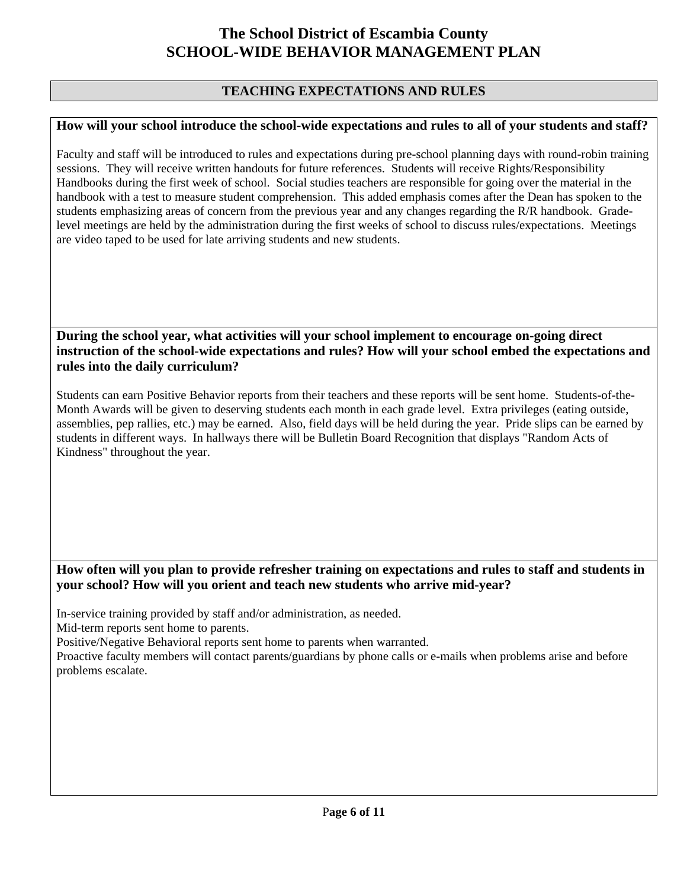#### **TEACHING EXPECTATIONS AND RULES**

#### **How will your school introduce the school-wide expectations and rules to all of your students and staff?**

Faculty and staff will be introduced to rules and expectations during pre-school planning days with round-robin training sessions. They will receive written handouts for future references. Students will receive Rights/Responsibility Handbooks during the first week of school. Social studies teachers are responsible for going over the material in the handbook with a test to measure student comprehension. This added emphasis comes after the Dean has spoken to the students emphasizing areas of concern from the previous year and any changes regarding the R/R handbook. Gradelevel meetings are held by the administration during the first weeks of school to discuss rules/expectations. Meetings are video taped to be used for late arriving students and new students.

#### **During the school year, what activities will your school implement to encourage on-going direct instruction of the school-wide expectations and rules? How will your school embed the expectations and rules into the daily curriculum?**

Students can earn Positive Behavior reports from their teachers and these reports will be sent home. Students-of-the-Month Awards will be given to deserving students each month in each grade level. Extra privileges (eating outside, assemblies, pep rallies, etc.) may be earned. Also, field days will be held during the year. Pride slips can be earned by students in different ways. In hallways there will be Bulletin Board Recognition that displays "Random Acts of Kindness" throughout the year.

#### **How often will you plan to provide refresher training on expectations and rules to staff and students in your school? How will you orient and teach new students who arrive mid-year?**

In-service training provided by staff and/or administration, as needed.

Mid-term reports sent home to parents.

Positive/Negative Behavioral reports sent home to parents when warranted.

Proactive faculty members will contact parents/guardians by phone calls or e-mails when problems arise and before problems escalate.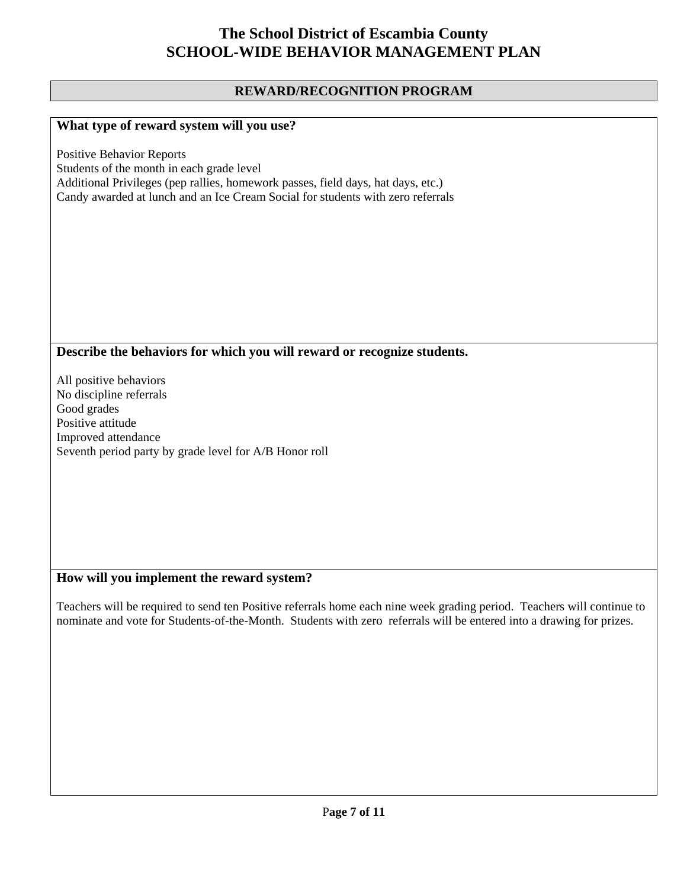#### **REWARD/RECOGNITION PROGRAM**

## **What type of reward system will you use?**

Positive Behavior Reports Students of the month in each grade level Additional Privileges (pep rallies, homework passes, field days, hat days, etc.) Candy awarded at lunch and an Ice Cream Social for students with zero referrals

#### **Describe the behaviors for which you will reward or recognize students.**

All positive behaviors No discipline referrals Good grades Positive attitude Improved attendance Seventh period party by grade level for A/B Honor roll

## **How will you implement the reward system?**

Teachers will be required to send ten Positive referrals home each nine week grading period. Teachers will continue to nominate and vote for Students-of-the-Month. Students with zero referrals will be entered into a drawing for prizes.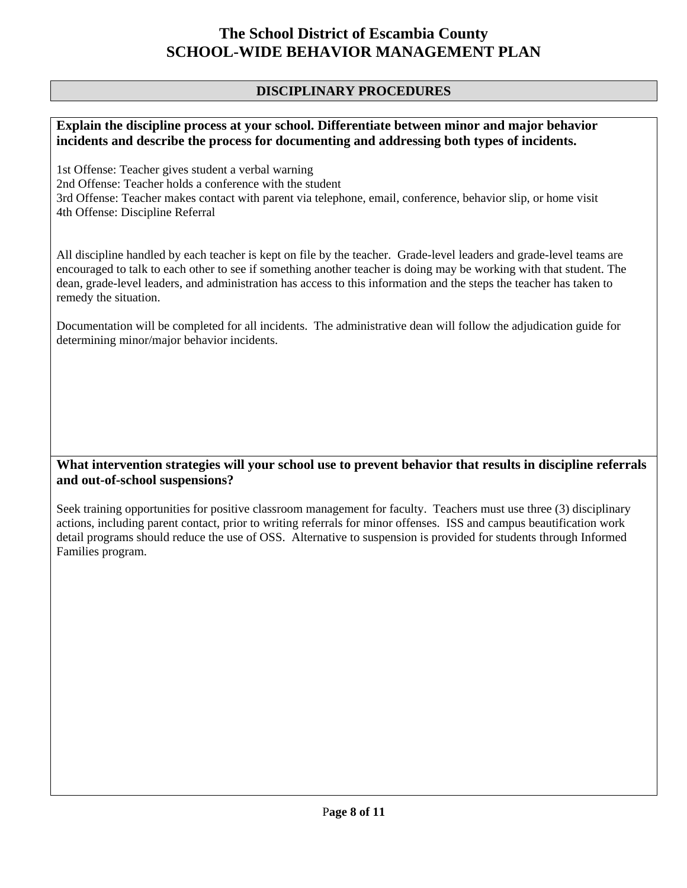#### **DISCIPLINARY PROCEDURES**

#### **Explain the discipline process at your school. Differentiate between minor and major behavior incidents and describe the process for documenting and addressing both types of incidents.**

1st Offense: Teacher gives student a verbal warning 2nd Offense: Teacher holds a conference with the student 3rd Offense: Teacher makes contact with parent via telephone, email, conference, behavior slip, or home visit 4th Offense: Discipline Referral

All discipline handled by each teacher is kept on file by the teacher. Grade-level leaders and grade-level teams are encouraged to talk to each other to see if something another teacher is doing may be working with that student. The dean, grade-level leaders, and administration has access to this information and the steps the teacher has taken to remedy the situation.

Documentation will be completed for all incidents. The administrative dean will follow the adjudication guide for determining minor/major behavior incidents.

#### **What intervention strategies will your school use to prevent behavior that results in discipline referrals and out-of-school suspensions?**

Seek training opportunities for positive classroom management for faculty. Teachers must use three (3) disciplinary actions, including parent contact, prior to writing referrals for minor offenses. ISS and campus beautification work detail programs should reduce the use of OSS. Alternative to suspension is provided for students through Informed Families program.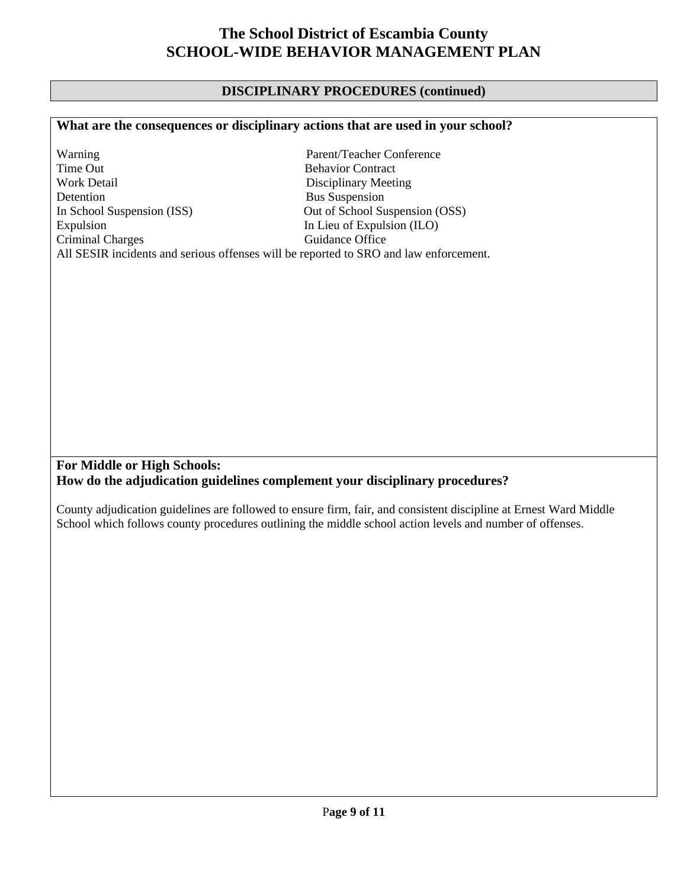#### **DISCIPLINARY PROCEDURES (continued)**

# **What are the consequences or disciplinary actions that are used in your school?**  Warning Parent/Teacher Conference<br>
Time Out Behavior Contract **Behavior Contract** Work Detail Disciplinary Meeting Detention Bus Suspension In School Suspension (ISS) Out of School Suspension (OSS) Expulsion In Lieu of Expulsion (ILO) Criminal Charges Guidance Office All SESIR incidents and serious offenses will be reported to SRO and law enforcement. **For Middle or High Schools: How do the adjudication guidelines complement your disciplinary procedures?**  County adjudication guidelines are followed to ensure firm, fair, and consistent discipline at Ernest Ward Middle School which follows county procedures outlining the middle school action levels and number of offenses.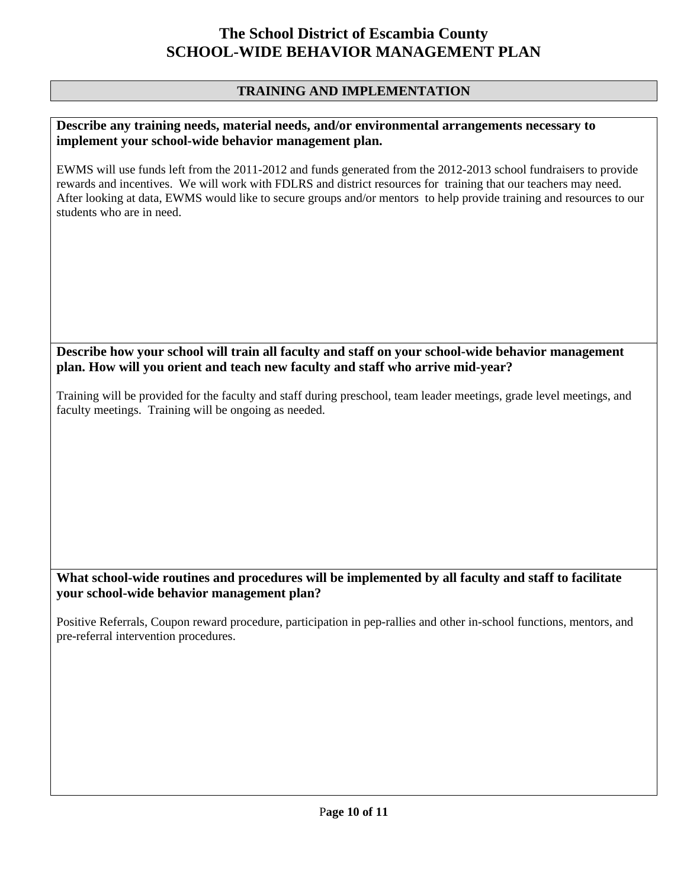#### **TRAINING AND IMPLEMENTATION**

#### **Describe any training needs, material needs, and/or environmental arrangements necessary to implement your school-wide behavior management plan.**

EWMS will use funds left from the 2011-2012 and funds generated from the 2012-2013 school fundraisers to provide rewards and incentives. We will work with FDLRS and district resources for training that our teachers may need. After looking at data, EWMS would like to secure groups and/or mentors to help provide training and resources to our students who are in need.

#### **Describe how your school will train all faculty and staff on your school-wide behavior management plan. How will you orient and teach new faculty and staff who arrive mid-year?**

Training will be provided for the faculty and staff during preschool, team leader meetings, grade level meetings, and faculty meetings. Training will be ongoing as needed.

#### **What school-wide routines and procedures will be implemented by all faculty and staff to facilitate your school-wide behavior management plan?**

Positive Referrals, Coupon reward procedure, participation in pep-rallies and other in-school functions, mentors, and pre-referral intervention procedures.